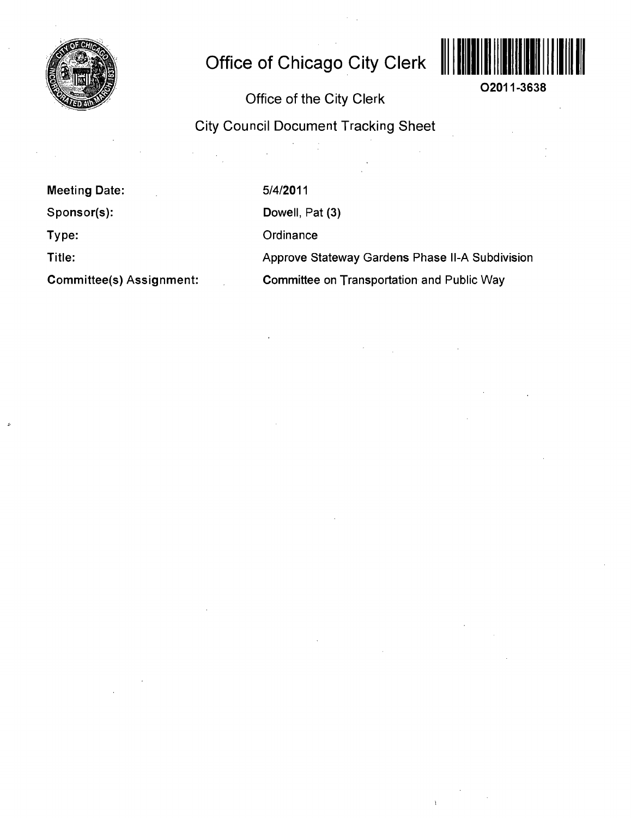

## **Office of Chicago City Clerk**



02011-3638

Office of the City Clerk

City Council Document Tracking Sheet

Meeting Date:

Sponsor(s):

Type:

Title:

Committee(s) Assignment:

5/4/2011

Dowell, Pat (3)

**Ordinance** 

Approve Stateway Gardens Phase ll-A Subdivision

Committee on Transportation and Public Way